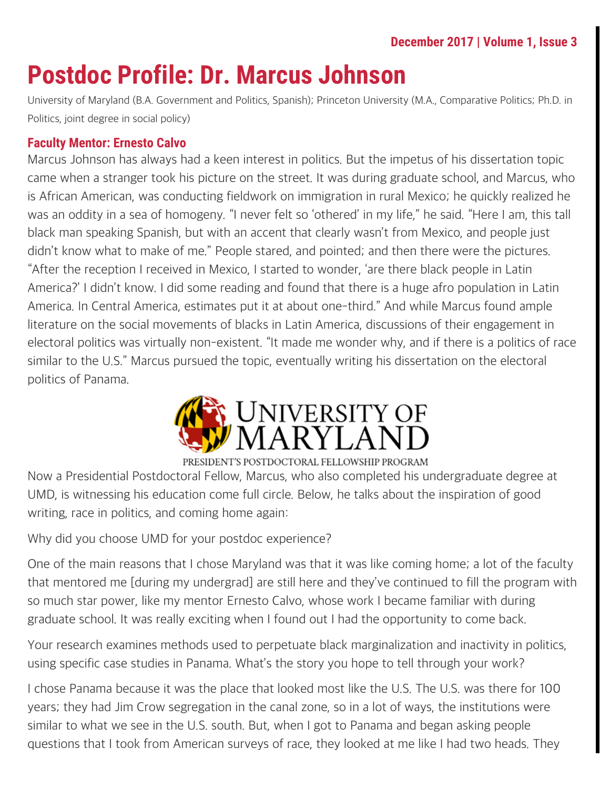# **Postdoc Profile: Dr. Marcus Johnson**

University of Maryland (B.A. Government and Politics, Spanish); Princeton University (M.A., Comparative Politics; Ph.D. in Politics, joint degree in social policy)

## **Faculty Mentor: Ernesto Calvo**

Marcus Johnson has always had a keen interest in politics. But the impetus of his dissertation topic came when a stranger took his picture on the street. It was during graduate school, and Marcus, who is African American, was conducting fieldwork on immigration in rural Mexico; he quickly realized he was an oddity in a sea of homogeny. "I never felt so 'othered' in my life," he said. "Here I am, this tall black man speaking Spanish, but with an accent that clearly wasn't from Mexico, and people just didn't know what to make of me." People stared, and pointed; and then there were the pictures. "After the reception I received in Mexico, I started to wonder, 'are there black people in Latin America?' I didn't know. I did some reading and found that there is a huge afro population in Latin America. In Central America, estimates put it at about one-third." And while Marcus found ample literature on the social movements of blacks in Latin America, discussions of their engagement in electoral politics was virtually non-existent. "It made me wonder why, and if there is a politics of race similar to the U.S." Marcus pursued the topic, eventually writing his dissertation on the electoral politics of Panama.



Now a Presidential Postdoctoral Fellow, Marcus, who also completed his undergraduate degree at UMD, is witnessing his education come full circle. Below, he talks about the inspiration of good writing, race in politics, and coming home again:

Why did you choose UMD for your postdoc experience?

One of the main reasons that I chose Maryland was that it was like coming home; a lot of the faculty that mentored me [during my undergrad] are still here and they've continued to fill the program with so much star power, like my mentor Ernesto Calvo, whose work I became familiar with during graduate school. It was really exciting when I found out I had the opportunity to come back.

Your research examines methods used to perpetuate black marginalization and inactivity in politics, using specific case studies in Panama. What's the story you hope to tell through your work?

I chose Panama because it was the place that looked most like the U.S. The U.S. was there for 100 years; they had Jim Crow segregation in the canal zone, so in a lot of ways, the institutions were similar to what we see in the U.S. south. But, when I got to Panama and began asking people questions that I took from American surveys of race, they looked at me like I had two heads. They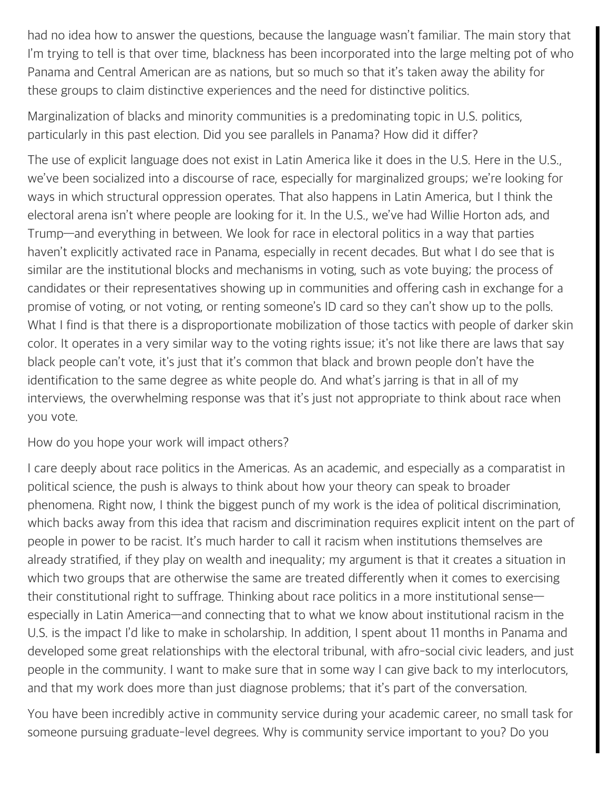had no idea how to answer the questions, because the language wasn't familiar. The main story that I'm trying to tell is that over time, blackness has been incorporated into the large melting pot of who Panama and Central American are as nations, but so much so that it's taken away the ability for these groups to claim distinctive experiences and the need for distinctive politics.

Marginalization of blacks and minority communities is a predominating topic in U.S. politics, particularly in this past election. Did you see parallels in Panama? How did it differ?

The use of explicit language does not exist in Latin America like it does in the U.S. Here in the U.S., we've been socialized into a discourse of race, especially for marginalized groups; we're looking for ways in which structural oppression operates. That also happens in Latin America, but I think the electoral arena isn't where people are looking for it. In the U.S., we've had Willie Horton ads, and Trump—and everything in between. We look for race in electoral politics in a way that parties haven't explicitly activated race in Panama, especially in recent decades. But what I do see that is similar are the institutional blocks and mechanisms in voting, such as vote buying; the process of candidates or their representatives showing up in communities and offering cash in exchange for a promise of voting, or not voting, or renting someone's ID card so they can't show up to the polls. What I find is that there is a disproportionate mobilization of those tactics with people of darker skin color. It operates in a very similar way to the voting rights issue; it's not like there are laws that say black people can't vote, it's just that it's common that black and brown people don't have the identification to the same degree as white people do. And what's jarring is that in all of my interviews, the overwhelming response was that it's just not appropriate to think about race when you vote.

How do you hope your work will impact others?

I care deeply about race politics in the Americas. As an academic, and especially as a comparatist in political science, the push is always to think about how your theory can speak to broader phenomena. Right now, I think the biggest punch of my work is the idea of political discrimination, which backs away from this idea that racism and discrimination requires explicit intent on the part of people in power to be racist. It's much harder to call it racism when institutions themselves are already stratified, if they play on wealth and inequality; my argument is that it creates a situation in which two groups that are otherwise the same are treated differently when it comes to exercising their constitutional right to suffrage. Thinking about race politics in a more institutional sense especially in Latin America—and connecting that to what we know about institutional racism in the U.S. is the impact I'd like to make in scholarship. In addition, I spent about 11 months in Panama and developed some great relationships with the electoral tribunal, with afro-social civic leaders, and just people in the community. I want to make sure that in some way I can give back to my interlocutors, and that my work does more than just diagnose problems; that it's part of the conversation.

You have been incredibly active in community service during your academic career, no small task for someone pursuing graduate-level degrees. Why is community service important to you? Do you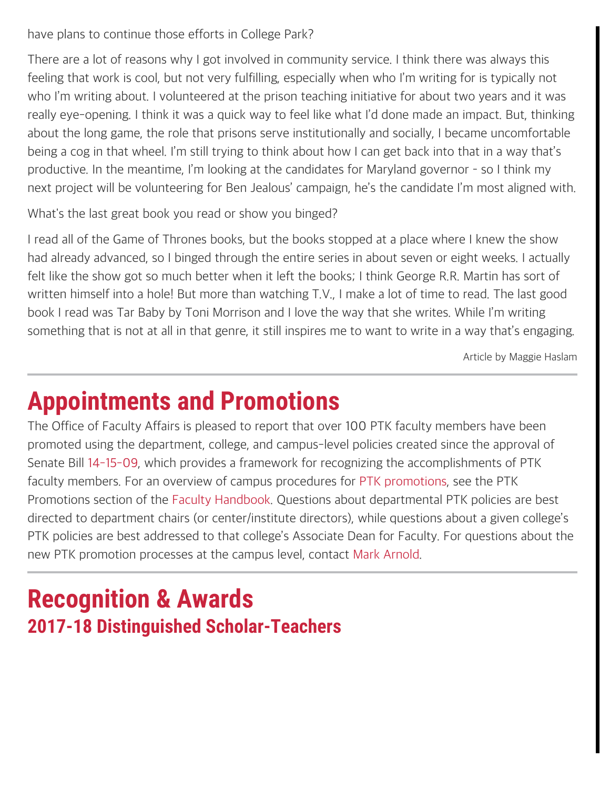have plans to continue those efforts in College Park?

There are a lot of reasons why I got involved in community service. I think there was always this feeling that work is cool, but not very fulfilling, especially when who I'm writing for is typically not who I'm writing about. I volunteered at the prison teaching initiative for about two years and it was really eye-opening. I think it was a quick way to feel like what I'd done made an impact. But, thinking about the long game, the role that prisons serve institutionally and socially, I became uncomfortable being a cog in that wheel. I'm still trying to think about how I can get back into that in a way that's productive. In the meantime, I'm looking at the candidates for Maryland governor – so I think my next project will be volunteering for Ben Jealous' campaign, he's the candidate I'm most aligned with.

What's the last great book you read or show you binged?

I read all of the Game of Thrones books, but the books stopped at a place where I knew the show had already advanced, so I binged through the entire series in about seven or eight weeks. I actually felt like the show got so much better when it left the books; I think George R.R. Martin has sort of written himself into a hole! But more than watching T.V., I make a lot of time to read. The last good book I read was Tar Baby by Toni Morrison and I love the way that she writes. While I'm writing something that is not at all in that genre, it still inspires me to want to write in a way that's engaging.

Article by Maggie Haslam

# **Appointments and Promotions**

The Office of Faculty Affairs is pleased to report that over 100 PTK faculty members have been promoted using the department, college, and campus-level policies created since the approval of Senate Bill [14-15-09](https://www.senate.umd.edu/sites/default/files/resources/billDocuments/14-15-09/stage5/Presidential_Approval_14-15-09.pdf), which provides a framework for recognizing the accomplishments of PTK faculty members. For an overview of campus procedures for [PTK promotions](https://faculty.umd.edu/faculty/promotion.html#ptk), see the PTK Promotions section of the [Faculty Handbook.](https://faculty.umd.edu/) Questions about departmental PTK policies are best directed to department chairs (or center/institute directors), while questions about a given college's PTK policies are best addressed to that college's Associate Dean for Faculty. For questions about the new PTK promotion processes at the campus level, contact [Mark Arnold](mailto:mdarnold@umd.edu).

## **Recognition & Awards 2017-18 Distinguished Scholar-Teachers**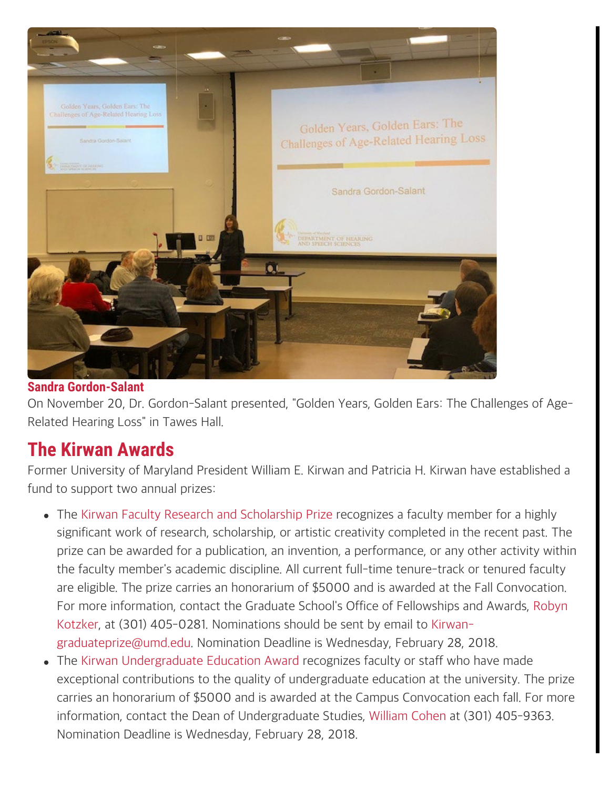

### **Sandra Gordon-Salant**

On November 20, Dr. Gordon-Salant presented, "Golden Years, Golden Ears: The Challenges of Age-Related Hearing Loss" in Tawes Hall.

## **The Kirwan Awards**

Former University of Maryland President William E. Kirwan and Patricia H. Kirwan have established a fund to support two annual prizes:

- The [Kirwan Faculty Research and Scholarship Prize](https://gradschool.umd.edu/funding/faculty-and-staff-awards/kirwan-graduate-scholarship-and-research-prize) recognizes a faculty member for a highly significant work of research, scholarship, or artistic creativity completed in the recent past. The prize can be awarded for a publication, an invention, a performance, or any other activity within the faculty member's academic discipline. All current full-time tenure-track or tenured faculty are eligible. The prize carries an honorarium of \$5000 and is awarded at the Fall Convocation. For more information, contact the Graduate School's Office of Fellowships and Awards, [Robyn](mailto:rkotzker@umd.edu) [Kotzker](mailto:rkotzker@umd.edu), at (301) 405-0281. Nominations should be sent by email to [Kirwan](mailto:Kirwan-graduateprize@umd.edu)[graduateprize@umd.edu](mailto:Kirwan-graduateprize@umd.edu). Nomination Deadline is Wednesday, February 28, 2018.
- The [Kirwan Undergraduate Education Award](https://faculty.umd.edu/awards/index.html) recognizes faculty or staff who have made exceptional contributions to the quality of undergraduate education at the university. The prize carries an honorarium of \$5000 and is awarded at the Campus Convocation each fall. For more information, contact the Dean of Undergraduate Studies, [William Cohen](mailto:wcohen@umd.edu) at (301) 405-9363. Nomination Deadline is Wednesday, February 28, 2018.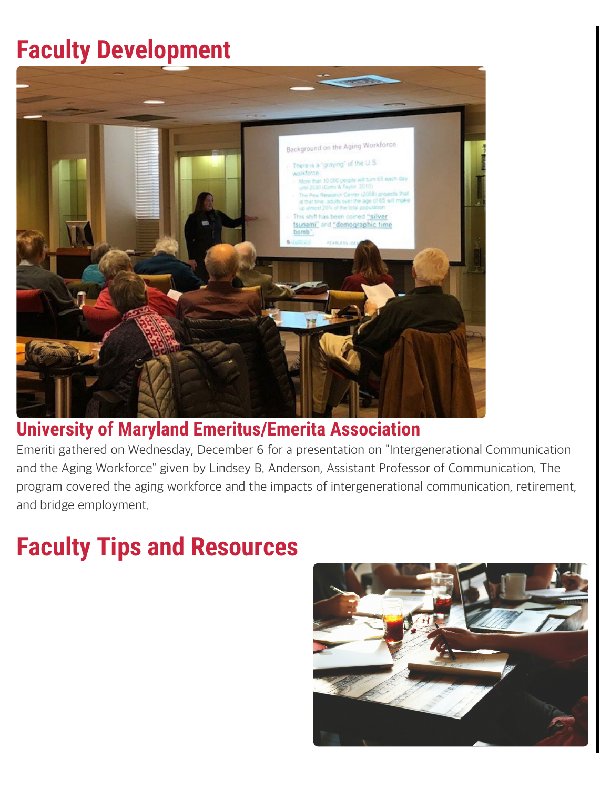# **Faculty Development**



## **University of Maryland Emeritus/Emerita Association**

Emeriti gathered on Wednesday, December 6 for a presentation on "Intergenerational Communication and the Aging Workforce" given by Lindsey B. Anderson, Assistant Professor of Communication. The program covered the aging workforce and the impacts of intergenerational communication, retirement, and bridge employment.

# **Faculty Tips and Resources**

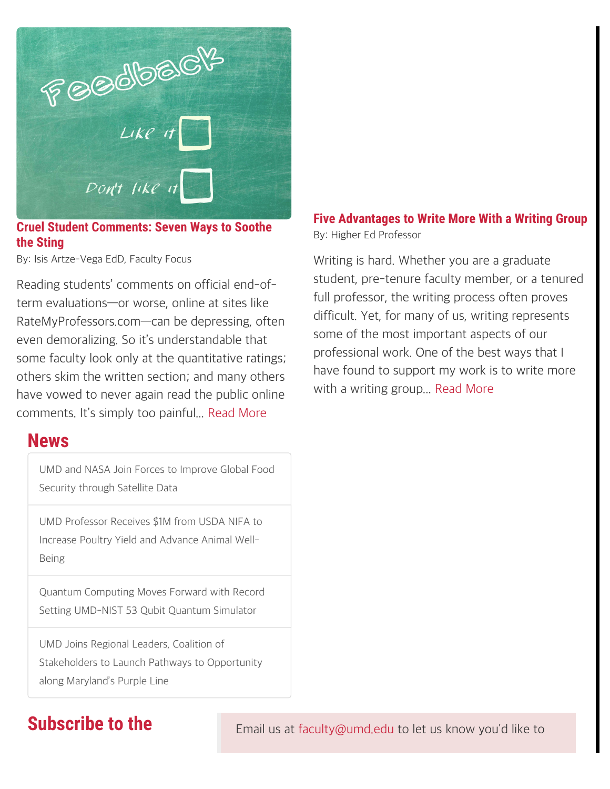

**Cruel Student Comments: Seven Ways to Soothe the Sting**

By: Isis Artze-Vega EdD, Faculty Focus

Reading students' comments on official end-ofterm evaluations—or worse, online at sites like RateMyProfessors.com—can be depressing, often even demoralizing. So it's understandable that some faculty look only at the quantitative ratings; others skim the written section; and many others have vowed to never again read the public online comments. It's simply too painful... [Read More](https://www.facultyfocus.com/articles/faculty-evaluation/cruel-student-comments-seven-ways-soothe-sting/)

## **News**

[UMD and NASA Join Forces to Improve Global Food](https://umdrightnow.umd.edu/news/umd-and-nasa-join-forces-improve-global-food-security-through-satellite-data) [Security through Satellite Data](https://umdrightnow.umd.edu/news/umd-and-nasa-join-forces-improve-global-food-security-through-satellite-data)

[UMD Professor Receives \\$1M from USDA NIFA to](https://umdrightnow.umd.edu/news/umd-professor-receives-1m-usda-nifa-increase-poultry-yield-and-advance-animal-well-being) [Increase Poultry Yield and Advance Animal Well-](https://umdrightnow.umd.edu/news/umd-professor-receives-1m-usda-nifa-increase-poultry-yield-and-advance-animal-well-being)[Being](https://umdrightnow.umd.edu/news/umd-professor-receives-1m-usda-nifa-increase-poultry-yield-and-advance-animal-well-being)

[Quantum Computing Moves Forward with Record](https://umdrightnow.umd.edu/news/quantum-computing-moves-forward-record-setting-umd-nist-53-qubit-quantum-simulator) [Setting UMD-NIST 53 Qubit Quantum Simulator](https://umdrightnow.umd.edu/news/quantum-computing-moves-forward-record-setting-umd-nist-53-qubit-quantum-simulator)

[UMD Joins Regional Leaders, Coalition of](https://umdrightnow.umd.edu/news/umd-joins-regional-leaders-coalition-stakeholders-launch-pathways-opportunity-along-maryland%E2%80%99s) [Stakeholders to Launch Pathways to Opportunity](https://umdrightnow.umd.edu/news/umd-joins-regional-leaders-coalition-stakeholders-launch-pathways-opportunity-along-maryland%E2%80%99s) [along Maryland's Purple Line](https://umdrightnow.umd.edu/news/umd-joins-regional-leaders-coalition-stakeholders-launch-pathways-opportunity-along-maryland%E2%80%99s)

### **Five Advantages to Write More With a Writing Group** By: Higher Ed Professor

Writing is hard. Whether you are a graduate student, pre-tenure faculty member, or a tenured full professor, the writing process often proves difficult. Yet, for many of us, writing represents some of the most important aspects of our professional work. One of the best ways that I have found to support my work is to write more with a writing group... [Read More](http://higheredprofessor.com/2017/06/19/five-advantages-write-writing-group/)

**Subscribe to the** Email us at [faculty@umd.edu](mailto:faculty@umd.edu) to let us know you'd like to